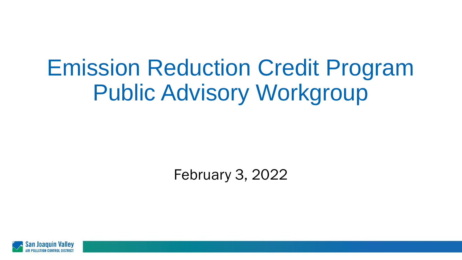# Emission Reduction Credit Program Public Advisory Workgroup

February 3, 2022

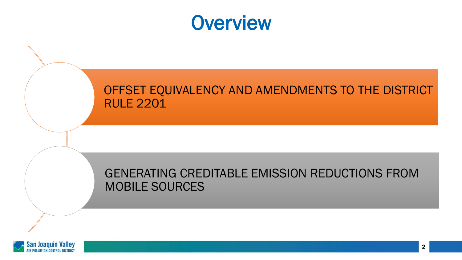

#### OFFSET EQUIVALENCY AND AMENDMENTS TO THE DISTRICT RULE 2201

#### GENERATING CREDITABLE EMISSION REDUCTIONS FROM MOBILE SOURCES

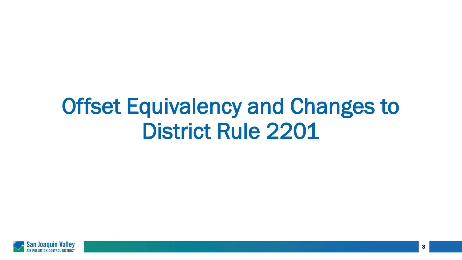# Offset Equivalency and Changes to District Rule 2201

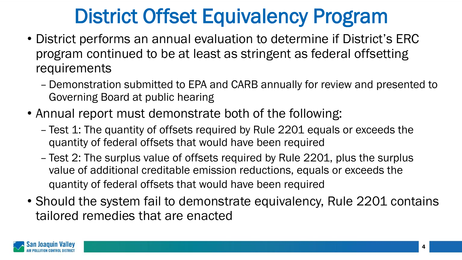## District Offset Equivalency Program

- District performs an annual evaluation to determine if District's ERC program continued to be at least as stringent as federal offsetting requirements
	- Demonstration submitted to EPA and CARB annually for review and presented to Governing Board at public hearing
- Annual report must demonstrate both of the following:
	- Test 1: The quantity of offsets required by Rule 2201 equals or exceeds the quantity of federal offsets that would have been required
	- Test 2: The surplus value of offsets required by Rule 2201, plus the surplus value of additional creditable emission reductions, equals or exceeds the quantity of federal offsets that would have been required
- Should the system fail to demonstrate equivalency, Rule 2201 contains tailored remedies that are enacted

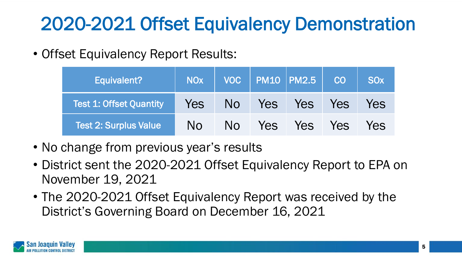## 2020-2021 Offset Equivalency Demonstration

• Offset Equivalency Report Results:

| Equivalent?                    | <b>NO<sub>x</sub></b> |                |            | VOC   PM10   PM2.5   CO |            | <b>SO<sub>x</sub></b> |
|--------------------------------|-----------------------|----------------|------------|-------------------------|------------|-----------------------|
| <b>Test 1: Offset Quantity</b> | Yes                   | No.            | Yes        | Yes I                   | <b>Yes</b> | Yes                   |
| <b>Test 2: Surplus Value</b>   | N <sub>O</sub>        | N <sub>O</sub> | <b>Yes</b> | Yes                     | <b>Yes</b> | Yes                   |

- No change from previous year's results
- District sent the 2020-2021 Offset Equivalency Report to EPA on November 19, 2021
- The 2020-2021 Offset Equivalency Report was received by the District's Governing Board on December 16, 2021

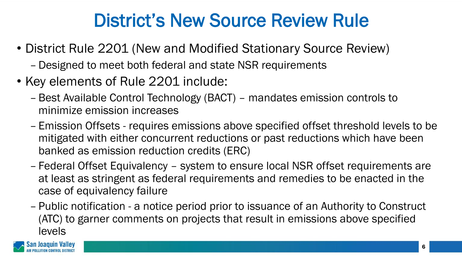#### District's New Source Review Rule

- District Rule 2201 (New and Modified Stationary Source Review)
	- Designed to meet both federal and state NSR requirements
- Key elements of Rule 2201 include:
	- Best Available Control Technology (BACT) mandates emission controls to minimize emission increases
	- Emission Offsets requires emissions above specified offset threshold levels to be mitigated with either concurrent reductions or past reductions which have been banked as emission reduction credits (ERC)
	- Federal Offset Equivalency system to ensure local NSR offset requirements are at least as stringent as federal requirements and remedies to be enacted in the case of equivalency failure
	- Public notification a notice period prior to issuance of an Authority to Construct (ATC) to garner comments on projects that result in emissions above specified levels

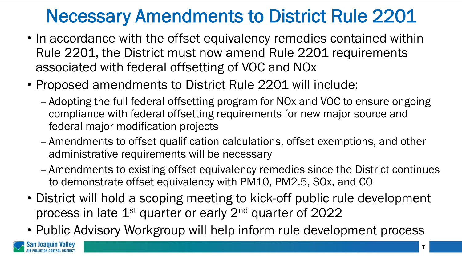#### Necessary Amendments to District Rule 2201

- In accordance with the offset equivalency remedies contained within Rule 2201, the District must now amend Rule 2201 requirements associated with federal offsetting of VOC and NOx
- Proposed amendments to District Rule 2201 will include:
	- Adopting the full federal offsetting program for NOx and VOC to ensure ongoing compliance with federal offsetting requirements for new major source and federal major modification projects
	- Amendments to offset qualification calculations, offset exemptions, and other administrative requirements will be necessary
	- Amendments to existing offset equivalency remedies since the District continues to demonstrate offset equivalency with PM10, PM2.5, SOx, and CO
- District will hold a scoping meeting to kick-off public rule development process in late 1<sup>st</sup> quarter or early 2<sup>nd</sup> quarter of 2022
- Public Advisory Workgroup will help inform rule development process

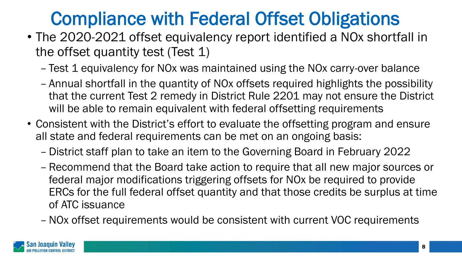## Compliance with Federal Offset Obligations

- The 2020-2021 offset equivalency report identified a NOx shortfall in the offset quantity test (Test 1)
	- Test 1 equivalency for NOx was maintained using the NOx carry-over balance
	- Annual shortfall in the quantity of NOx offsets required highlights the possibility that the current Test 2 remedy in District Rule 2201 may not ensure the District will be able to remain equivalent with federal offsetting requirements
- Consistent with the District's effort to evaluate the offsetting program and ensure all state and federal requirements can be met on an ongoing basis:
	- District staff plan to take an item to the Governing Board in February 2022
	- Recommend that the Board take action to require that all new major sources or federal major modifications triggering offsets for NOx be required to provide ERCs for the full federal offset quantity and that those credits be surplus at time of ATC issuance
	- –NOx offset requirements would be consistent with current VOC requirements

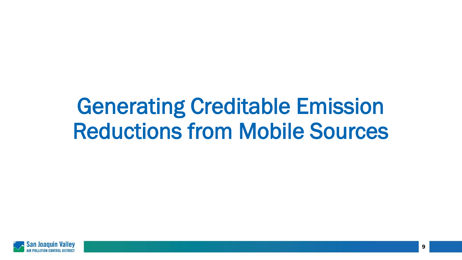# Generating Creditable Emission Reductions from Mobile Sources

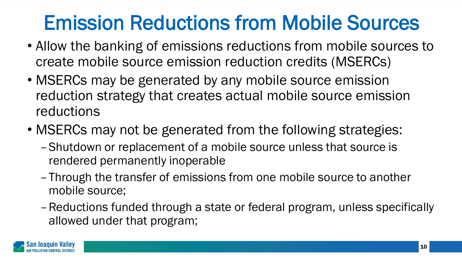## Emission Reductions from Mobile Sources

- Allow the banking of emissions reductions from mobile sources to create mobile source emission reduction credits (MSERCs)
- MSERCs may be generated by any mobile source emission reduction strategy that creates actual mobile source emission reductions
- MSERCs may not be generated from the following strategies:
	- –Shutdown or replacement of a mobile source unless that source is rendered permanently inoperable
	- –Through the transfer of emissions from one mobile source to another mobile source;
	- –Reductions funded through a state or federal program, unless specifically allowed under that program;

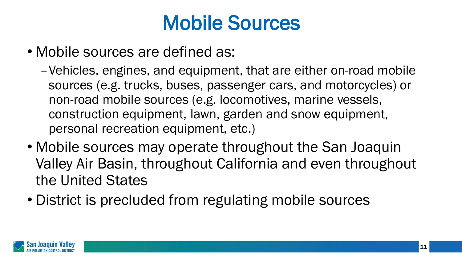## Mobile Sources

- Mobile sources are defined as:
	- –Vehicles, engines, and equipment, that are either on-road mobile sources (e.g. trucks, buses, passenger cars, and motorcycles) or non-road mobile sources (e.g. locomotives, marine vessels, construction equipment, lawn, garden and snow equipment, personal recreation equipment, etc.)
- Mobile sources may operate throughout the San Joaquin Valley Air Basin, throughout California and even throughout the United States
- District is precluded from regulating mobile sources

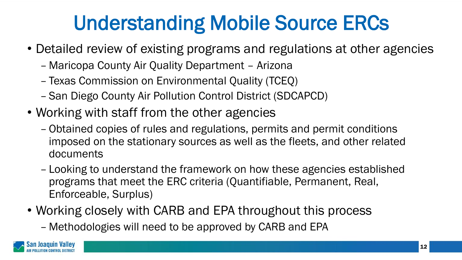## Understanding Mobile Source ERCs

- Detailed review of existing programs and regulations at other agencies
	- Maricopa County Air Quality Department Arizona
	- Texas Commission on Environmental Quality (TCEQ)
	- San Diego County Air Pollution Control District (SDCAPCD)
- Working with staff from the other agencies
	- Obtained copies of rules and regulations, permits and permit conditions imposed on the stationary sources as well as the fleets, and other related documents
	- Looking to understand the framework on how these agencies established programs that meet the ERC criteria (Quantifiable, Permanent, Real, Enforceable, Surplus)
- Working closely with CARB and EPA throughout this process
	- Methodologies will need to be approved by CARB and EPA

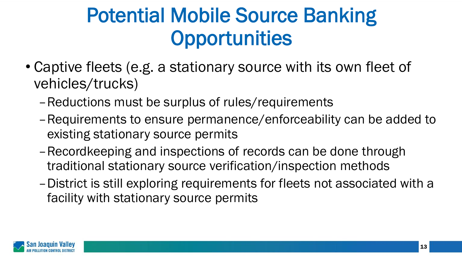## Potential Mobile Source Banking **Opportunities**

- Captive fleets (e.g. a stationary source with its own fleet of vehicles/trucks)
	- –Reductions must be surplus of rules/requirements
	- –Requirements to ensure permanence/enforceability can be added to existing stationary source permits
	- –Recordkeeping and inspections of records can be done through traditional stationary source verification/inspection methods
	- –District is still exploring requirements for fleets not associated with a facility with stationary source permits

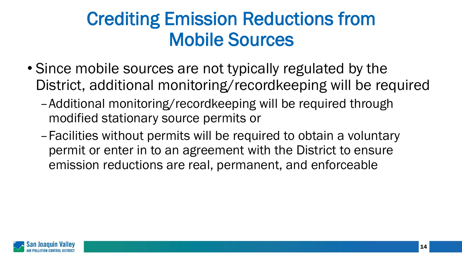#### Crediting Emission Reductions from Mobile Sources

- Since mobile sources are not typically regulated by the District, additional monitoring/recordkeeping will be required
	- –Additional monitoring/recordkeeping will be required through modified stationary source permits or
	- –Facilities without permits will be required to obtain a voluntary permit or enter in to an agreement with the District to ensure emission reductions are real, permanent, and enforceable

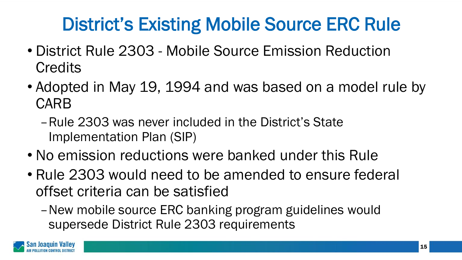## District's Existing Mobile Source ERC Rule

- District Rule 2303 Mobile Source Emission Reduction **Credits**
- Adopted in May 19, 1994 and was based on a model rule by CARB
	- –Rule 2303 was never included in the District's State Implementation Plan (SIP)
- No emission reductions were banked under this Rule
- Rule 2303 would need to be amended to ensure federal offset criteria can be satisfied
	- –New mobile source ERC banking program guidelines would supersede District Rule 2303 requirements

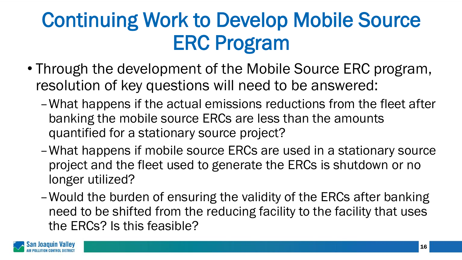## Continuing Work to Develop Mobile Source ERC Program

- Through the development of the Mobile Source ERC program, resolution of key questions will need to be answered:
	- –What happens if the actual emissions reductions from the fleet after banking the mobile source ERCs are less than the amounts quantified for a stationary source project?
	- –What happens if mobile source ERCs are used in a stationary source project and the fleet used to generate the ERCs is shutdown or no longer utilized?
	- –Would the burden of ensuring the validity of the ERCs after banking need to be shifted from the reducing facility to the facility that uses the ERCs? Is this feasible?

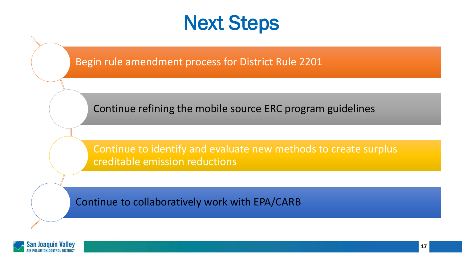#### Next Steps

Begin rule amendment process for District Rule 2201

Continue refining the mobile source ERC program guidelines

Continue to identify and evaluate new methods to create surplus creditable emission reductions

Continue to collaboratively work with EPA/CARB